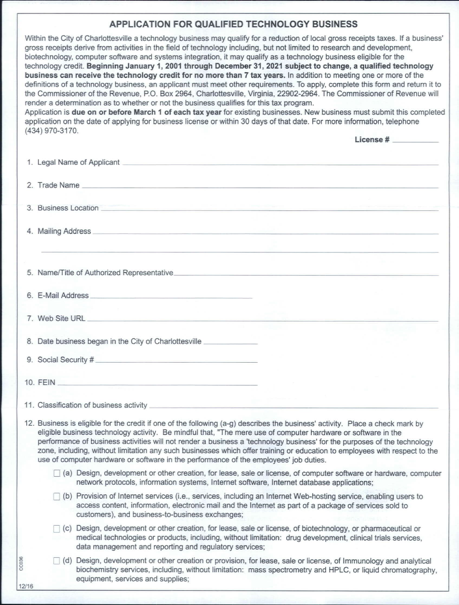## APPLICATION FOR QUALIFIED TECHNOLOGY BUSINESS

| <b>APPLICATION FOR QUALIFIED TECHNOLOGY BUSINESS</b>                                                                                                                                                                                                                                                                                                                                                                                                                                                                                                                                                                                                                                                                                                                                                                                                                                                                                                                                                                                                                                                                                                                                                                                                                |
|---------------------------------------------------------------------------------------------------------------------------------------------------------------------------------------------------------------------------------------------------------------------------------------------------------------------------------------------------------------------------------------------------------------------------------------------------------------------------------------------------------------------------------------------------------------------------------------------------------------------------------------------------------------------------------------------------------------------------------------------------------------------------------------------------------------------------------------------------------------------------------------------------------------------------------------------------------------------------------------------------------------------------------------------------------------------------------------------------------------------------------------------------------------------------------------------------------------------------------------------------------------------|
| Within the City of Charlottesville a technology business may qualify for a reduction of local gross receipts taxes. If a business'<br>gross receipts derive from activities in the field of technology including, but not limited to research and development,<br>biotechnology, computer software and systems integration, it may qualify as a technology business eligible for the<br>technology credit. Beginning January 1, 2001 through December 31, 2021 subject to change, a qualified technology<br>business can receive the technology credit for no more than 7 tax years. In addition to meeting one or more of the<br>definitions of a technology business, an applicant must meet other requirements. To apply, complete this form and return it to<br>the Commissioner of the Revenue, P.O. Box 2964, Charlottesville, Virginia, 22902-2964. The Commissioner of Revenue will<br>render a determination as to whether or not the business qualifies for this tax program.<br>Application is due on or before March 1 of each tax year for existing businesses. New business must submit this completed<br>application on the date of applying for business license or within 30 days of that date. For more information, telephone<br>(434) 970-3170. |
| License #                                                                                                                                                                                                                                                                                                                                                                                                                                                                                                                                                                                                                                                                                                                                                                                                                                                                                                                                                                                                                                                                                                                                                                                                                                                           |
|                                                                                                                                                                                                                                                                                                                                                                                                                                                                                                                                                                                                                                                                                                                                                                                                                                                                                                                                                                                                                                                                                                                                                                                                                                                                     |
|                                                                                                                                                                                                                                                                                                                                                                                                                                                                                                                                                                                                                                                                                                                                                                                                                                                                                                                                                                                                                                                                                                                                                                                                                                                                     |
|                                                                                                                                                                                                                                                                                                                                                                                                                                                                                                                                                                                                                                                                                                                                                                                                                                                                                                                                                                                                                                                                                                                                                                                                                                                                     |
| 3. Business Location <b>Executive Contract Contract Contract Contract Contract Contract Contract Contract Contract Contract Contract Contract Contract Contract Contract Contract Contract Contract Contract Contract Contract C</b>                                                                                                                                                                                                                                                                                                                                                                                                                                                                                                                                                                                                                                                                                                                                                                                                                                                                                                                                                                                                                                |
|                                                                                                                                                                                                                                                                                                                                                                                                                                                                                                                                                                                                                                                                                                                                                                                                                                                                                                                                                                                                                                                                                                                                                                                                                                                                     |
|                                                                                                                                                                                                                                                                                                                                                                                                                                                                                                                                                                                                                                                                                                                                                                                                                                                                                                                                                                                                                                                                                                                                                                                                                                                                     |
|                                                                                                                                                                                                                                                                                                                                                                                                                                                                                                                                                                                                                                                                                                                                                                                                                                                                                                                                                                                                                                                                                                                                                                                                                                                                     |
|                                                                                                                                                                                                                                                                                                                                                                                                                                                                                                                                                                                                                                                                                                                                                                                                                                                                                                                                                                                                                                                                                                                                                                                                                                                                     |
| 6. E-Mail Address <b>Contract Contract Contract Contract Contract Contract Contract Contract Contract Contract Contract Contract Contract Contract Contract Contract Contract Contract Contract Contract Contract Contract Contr</b>                                                                                                                                                                                                                                                                                                                                                                                                                                                                                                                                                                                                                                                                                                                                                                                                                                                                                                                                                                                                                                |
|                                                                                                                                                                                                                                                                                                                                                                                                                                                                                                                                                                                                                                                                                                                                                                                                                                                                                                                                                                                                                                                                                                                                                                                                                                                                     |
|                                                                                                                                                                                                                                                                                                                                                                                                                                                                                                                                                                                                                                                                                                                                                                                                                                                                                                                                                                                                                                                                                                                                                                                                                                                                     |
|                                                                                                                                                                                                                                                                                                                                                                                                                                                                                                                                                                                                                                                                                                                                                                                                                                                                                                                                                                                                                                                                                                                                                                                                                                                                     |
| 8. Date business began in the City of Charlottesville                                                                                                                                                                                                                                                                                                                                                                                                                                                                                                                                                                                                                                                                                                                                                                                                                                                                                                                                                                                                                                                                                                                                                                                                               |
| 9. Social Security #                                                                                                                                                                                                                                                                                                                                                                                                                                                                                                                                                                                                                                                                                                                                                                                                                                                                                                                                                                                                                                                                                                                                                                                                                                                |
| <u> 1989 - Johann John Stein, markin fan it ferstjer fan it ferstjer fan it ferstjer fan it ferstjer fan it fers</u><br>10. FEIN                                                                                                                                                                                                                                                                                                                                                                                                                                                                                                                                                                                                                                                                                                                                                                                                                                                                                                                                                                                                                                                                                                                                    |
|                                                                                                                                                                                                                                                                                                                                                                                                                                                                                                                                                                                                                                                                                                                                                                                                                                                                                                                                                                                                                                                                                                                                                                                                                                                                     |
|                                                                                                                                                                                                                                                                                                                                                                                                                                                                                                                                                                                                                                                                                                                                                                                                                                                                                                                                                                                                                                                                                                                                                                                                                                                                     |
| 12. Business is eligible for the credit if one of the following (a-g) describes the business' activity. Place a check mark by<br>eligible business technology activity. Be mindful that, "The mere use of computer hardware or software in the<br>performance of business activities will not render a business a 'technology business' for the purposes of the technology<br>zone, including, without limitation any such businesses which offer training or education to employees with respect to the<br>use of computer hardware or software in the performance of the employees' job duties.                                                                                                                                                                                                                                                                                                                                                                                                                                                                                                                                                                                                                                                                   |
| (a) Design, development or other creation, for lease, sale or license, of computer software or hardware, computer                                                                                                                                                                                                                                                                                                                                                                                                                                                                                                                                                                                                                                                                                                                                                                                                                                                                                                                                                                                                                                                                                                                                                   |

- network protocols, information systems, Internet software, Internet database applications;
- b) Provision of Internet services (i. e., services, including an Internet Web- hosting service, enabling users to access content, information, electronic mail and the Internet as part of a package of services sold to customers), and business -to- business exchanges;
- c) Design, development or other creation, for lease, sale or license, of biotechnology, or pharmaceutical or medical technologies or products, including, without limitation: drug development, dinical trials services, data management and reporting and regulatory services;

CC036

12/16

d) Design, development or other creation or provision, for lease, sale or license, of Immunology and analytical biochemistry services, including, without limitation: mass spectrometry and HPLC, or liquid chromatography, equipment, services and supplies;